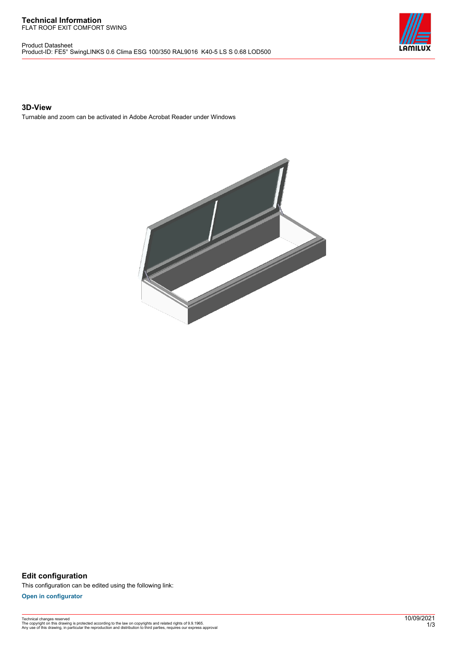#### **Technical Information** FLAT ROOF EXIT COMFORT SWING

Product Datasheet Product-ID: FE5° SwingLINKS 0.6 Clima ESG 100/350 RAL9016 K40-5 LS S 0.68 LOD500



## **3D-View**

Turnable and zoom can be activated in Adobe Acrobat Reader under Windows



**Edit configuration** This configuration can be edited using the following link:

**[Open in configurator](https://bimconfig.lamilux.com//?quickcode=EWAOFP)**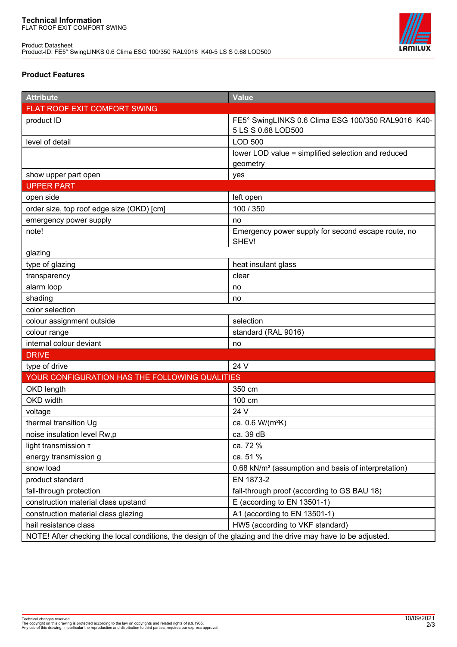Product Datasheet Product-ID: FE5° SwingLINKS 0.6 Clima ESG 100/350 RAL9016 K40-5 LS S 0.68 LOD500



# **Product Features**

| <b>Attribute</b>                                                                                            | <b>Value</b>                                                             |
|-------------------------------------------------------------------------------------------------------------|--------------------------------------------------------------------------|
| FLAT ROOF EXIT COMFORT SWING                                                                                |                                                                          |
| product ID                                                                                                  | FE5° SwingLINKS 0.6 Clima ESG 100/350 RAL9016 K40-<br>5 LS S 0.68 LOD500 |
| level of detail                                                                                             | <b>LOD 500</b>                                                           |
|                                                                                                             | lower LOD value = simplified selection and reduced                       |
|                                                                                                             | geometry                                                                 |
| show upper part open                                                                                        | yes                                                                      |
| <b>UPPER PART</b>                                                                                           |                                                                          |
| open side                                                                                                   | left open                                                                |
| order size, top roof edge size (OKD) [cm]                                                                   | 100 / 350                                                                |
| emergency power supply                                                                                      | no                                                                       |
| note!                                                                                                       | Emergency power supply for second escape route, no<br>SHEV!              |
| glazing                                                                                                     |                                                                          |
| type of glazing                                                                                             | heat insulant glass                                                      |
| transparency                                                                                                | clear                                                                    |
| alarm loop                                                                                                  | no                                                                       |
| shading                                                                                                     | no                                                                       |
| color selection                                                                                             |                                                                          |
| colour assignment outside                                                                                   | selection                                                                |
| colour range                                                                                                | standard (RAL 9016)                                                      |
| internal colour deviant                                                                                     | no                                                                       |
| <b>DRIVE</b>                                                                                                |                                                                          |
| type of drive                                                                                               | 24 V                                                                     |
| YOUR CONFIGURATION HAS THE FOLLOWING QUALITIES                                                              |                                                                          |
| OKD length                                                                                                  | 350 cm                                                                   |
| <b>OKD</b> width                                                                                            | 100 cm                                                                   |
| voltage                                                                                                     | 24 V                                                                     |
| thermal transition Ug                                                                                       | ca. 0.6 W/(m <sup>2</sup> K)                                             |
| noise insulation level Rw,p                                                                                 | ca. 39 dB                                                                |
| light transmission T                                                                                        | ca. 72 %                                                                 |
| energy transmission g                                                                                       | ca. 51 %                                                                 |
| snow load                                                                                                   | 0.68 kN/m <sup>2</sup> (assumption and basis of interpretation)          |
| product standard                                                                                            | EN 1873-2                                                                |
| fall-through protection                                                                                     | fall-through proof (according to GS BAU 18)                              |
| construction material class upstand                                                                         | E (according to EN 13501-1)                                              |
| construction material class glazing                                                                         | A1 (according to EN 13501-1)                                             |
| hail resistance class                                                                                       | HW5 (according to VKF standard)                                          |
| NOTE! After checking the local conditions, the design of the glazing and the drive may have to be adjusted. |                                                                          |